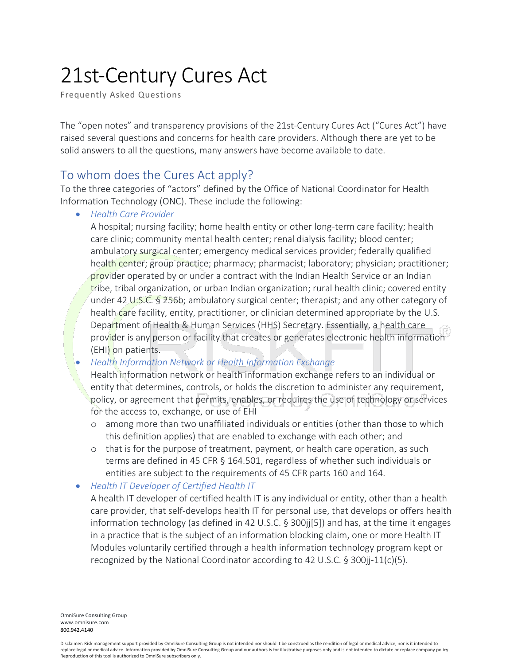# 21st-Century Cures Act

Frequently Asked Questions

The "open notes" and transparency provisions of the 21st-Century Cures Act ("Cures Act") have raised several questions and concerns for health care providers. Although there are yet to be solid answers to all the questions, many answers have become available to date.

# To whom does the Cures Act apply?

To the three categories of "actors" defined by the Office of National Coordinator for Health Information Technology (ONC). These include the following:

• *Health Care Provider* 

A hospital; nursing facility; home health entity or other long-term care facility; health care clinic; community mental health center; renal dialysis facility; blood center; ambulatory surgical center; emergency medical services provider; federally qualified health center; group practice; pharmacy; pharmacist; laboratory; physician; practitioner; provider operated by or under a contract with the Indian Health Service or an Indian tribe, tribal organization, or urban Indian organization; rural health clinic; covered entity under 42 U.S.C. § 256b; ambulatory surgical center; therapist; and any other category of health care facility, entity, practitioner, or clinician determined appropriate by the U.S. Department of Health & Human Services (HHS) Secretary. Essentially, a health care provider is any person or facility that creates or generates electronic health information (EHI) on patients.

• *Health Information Network or Health Information Exchange* 

Health information network or health information exchange refers to an individual or entity that determines, controls, or holds the discretion to administer any requirement, policy, or agreement that permits, enables, or requires the use of technology or services for the access to, exchange, or use of EHI

- o among more than two unaffiliated individuals or entities (other than those to which this definition applies) that are enabled to exchange with each other; and
- $\circ$  that is for the purpose of treatment, payment, or health care operation, as such terms are defined in 45 CFR § 164.501, regardless of whether such individuals or entities are subject to the requirements of 45 CFR parts 160 and 164.
- *Health IT Developer of Certified Health IT*

A health IT developer of certified health IT is any individual or entity, other than a health care provider, that self-develops health IT for personal use, that develops or offers health information technology (as defined in 42 U.S.C. § 300jj[5]) and has, at the time it engages in a practice that is the subject of an information blocking claim, one or more Health IT Modules voluntarily certified through a health information technology program kept or recognized by the National Coordinator according to 42 U.S.C.  $\S 300$ ij-11(c)(5).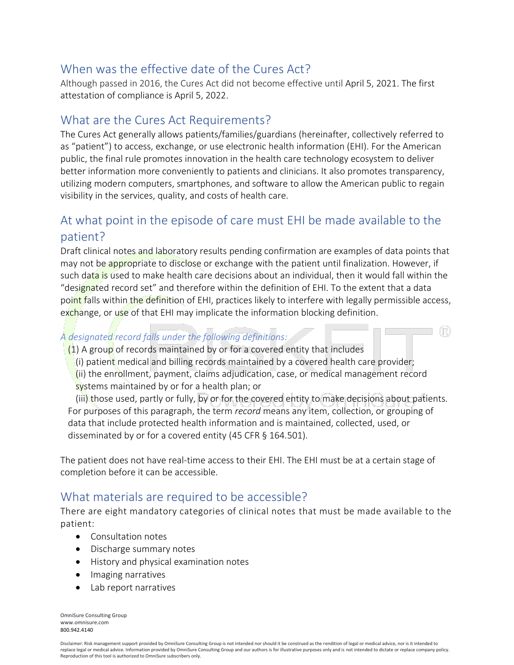# When was the effective date of the Cures Act?

Although passed in 2016, the Cures Act did not become effective until April 5, 2021. The first attestation of compliance is April 5, 2022.

# What are the Cures Act Requirements?

The Cures Act generally allows patients/families/guardians (hereinafter, collectively referred to as "patient") to access, exchange, or use electronic health information (EHI). For the American public, the final rule promotes innovation in the health care technology ecosystem to deliver better information more conveniently to patients and clinicians. It also promotes transparency, utilizing modern computers, smartphones, and software to allow the American public to regain visibility in the services, quality, and costs of health care.

# At what point in the episode of care must EHI be made available to the patient?

Draft clinical notes and laboratory results pending confirmation are examples of data points that may not be appropriate to disclose or exchange with the patient until finalization. However, if such data is used to make health care decisions about an individual, then it would fall within the "designated record set" and therefore within the definition of EHI. To the extent that a data point falls within the definition of EHI, practices likely to interfere with legally permissible access, exchange, or use of that EHI may implicate the information blocking definition.

#### *A designated record falls under the following definitions:*

 $(1)$  A group of records maintained by or for a covered entity that includes

(i) patient medical and billing records maintained by a covered health care provider;

(ii) the enrollment, payment, claims adjudication, case, or medical management record systems maintained by or for a health plan; or

(iii) those used, partly or fully, by or for the covered entity to make decisions about patients. For purposes of this paragraph, the term *record* means any item, collection, or grouping of data that include protected health information and is maintained, collected, used, or disseminated by or for a covered entity (45 CFR § 164.501).

The patient does not have real-time access to their EHI. The EHI must be at a certain stage of completion before it can be accessible.

# What materials are required to be accessible?

There are eight mandatory categories of clinical notes that must be made available to the patient:

- Consultation notes
- Discharge summary notes
- History and physical examination notes
- Imaging narratives
- Lab report narratives

OmniSure Consulting Group www.omnisure.com [800.942.4140](tel:800.942.4140)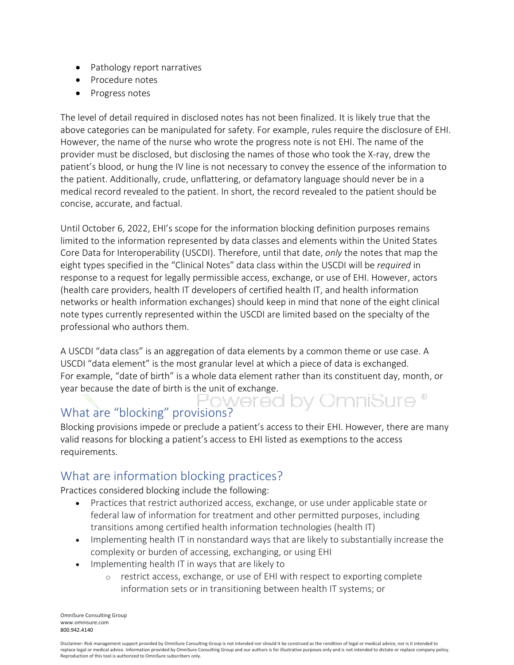- Pathology report narratives
- Procedure notes
- Progress notes

The level of detail required in disclosed notes has not been finalized. It is likely true that the above categories can be manipulated for safety. For example, rules require the disclosure of EHI. However, the name of the nurse who wrote the progress note is not EHI. The name of the provider must be disclosed, but disclosing the names of those who took the X-ray, drew the patient's blood, or hung the IV line is not necessary to convey the essence of the information to the patient. Additionally, crude, unflattering, or defamatory language should never be in a medical record revealed to the patient. In short, the record revealed to the patient should be concise, accurate, and factual.

Until October 6, 2022, EHI's scope for the information blocking definition purposes remains limited to the information represented by data classes and elements within the United States Core Data for Interoperability (USCDI). Therefore, until that date, *only* the notes that map the eight types specified in the "Clinical Notes" data class within the USCDI will be *required* in response to a request for legally permissible access, exchange, or use of EHI. However, actors (health care providers, health IT developers of certified health IT, and health information networks or health information exchanges) should keep in mind that none of the eight clinical note types currently represented within the USCDI are limited based on the specialty of the professional who authors them.

A USCDI "data class" is an aggregation of data elements by a common theme or use case. A USCDI "data element" is the most granular level at which a piece of data is exchanged. For example, "date of birth" is a whole data element rather than its constituent day, month, or year because the date of birth is the unit of exchange.

# What are "blocking" provisions?

Blocking provisions impede or preclude a patient's access to their EHI. However, there are many valid reasons for blocking a patient's access to EHI listed as exemptions to the access requirements.

# What are information blocking practices?

Practices considered blocking include the following:

- Practices that restrict authorized access, exchange, or use under applicable state or federal law of information for treatment and other permitted purposes, including transitions among certified health information technologies (health IT)
- Implementing health IT in nonstandard ways that are likely to substantially increase the complexity or burden of accessing, exchanging, or using EHI
- Implementing health IT in ways that are likely to
	- o restrict access, exchange, or use of EHI with respect to exporting complete information sets or in transitioning between health IT systems; or

OmniSure Consulting Group www.omnisure.com [800.942.4140](tel:800.942.4140)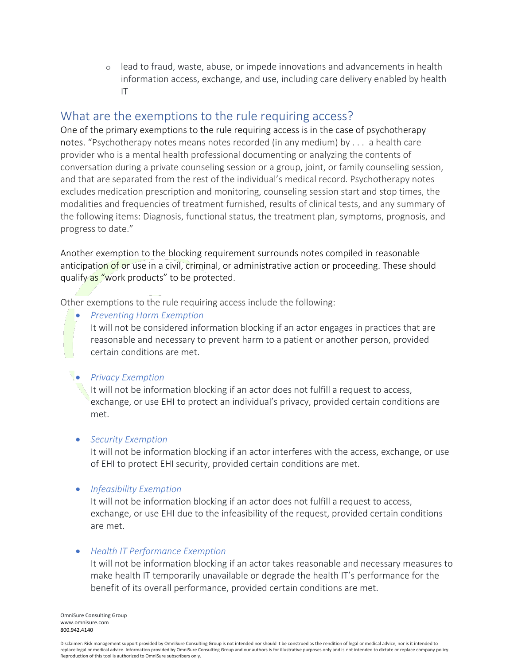$\circ$  lead to fraud, waste, abuse, or impede innovations and advancements in health information access, exchange, and use, including care delivery enabled by health IT

# What are the exemptions to the rule requiring access?

One of the primary exemptions to the rule requiring access is in the case of psychotherapy notes. "Psychotherapy notes means notes recorded (in any medium) by . . . a health care provider who is a mental health professional documenting or analyzing the contents of conversation during a private counseling session or a group, joint, or family counseling session, and that are separated from the rest of the individual's medical record. Psychotherapy notes excludes medication prescription and monitoring, counseling session start and stop times, the modalities and frequencies of treatment furnished, results of clinical tests, and any summary of the following items: Diagnosis, functional status, the treatment plan, symptoms, prognosis, and progress to date."

Another exemption to the blocking requirement surrounds notes compiled in reasonable anticipation of or use in a civil, criminal, or administrative action or proceeding. These should qualify as "work products" to be protected.

Other exemptions to the rule requiring access include the following:

• *Preventing Harm Exemption* It will not be considered information blocking if an actor engages in practices that are reasonable and necessary to prevent harm to a patient or another person, provided certain conditions are met.

#### • *Privacy Exemption*

It will not be information blocking if an actor does not fulfill a request to access, exchange, or use EHI to protect an individual's privacy, provided certain conditions are met.

#### • *Security Exemption*

It will not be information blocking if an actor interferes with the access, exchange, or use of EHI to protect EHI security, provided certain conditions are met.

#### • *Infeasibility Exemption*

It will not be information blocking if an actor does not fulfill a request to access, exchange, or use EHI due to the infeasibility of the request, provided certain conditions are met.

#### • *Health IT Performance Exemption*

It will not be information blocking if an actor takes reasonable and necessary measures to make health IT temporarily unavailable or degrade the health IT's performance for the benefit of its overall performance, provided certain conditions are met.

OmniSure Consulting Group www.omnisure.com [800.942.4140](tel:800.942.4140)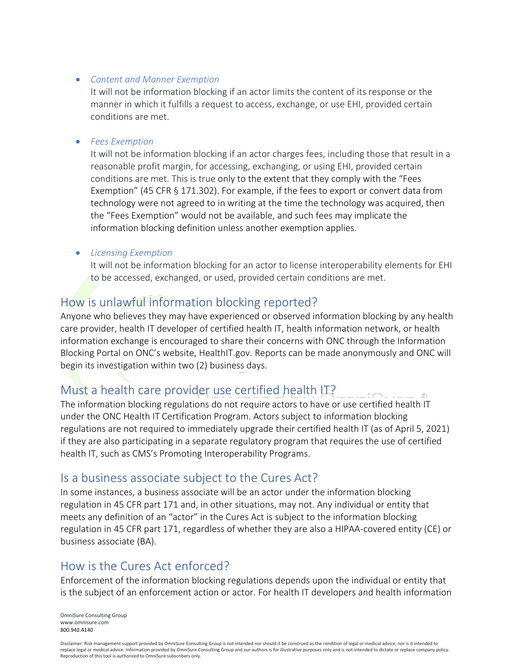#### • *Content and Manner Exemption*

It will not be information blocking if an actor limits the content of its response or the manner in which it fulfills a request to access, exchange, or use EHI, provided certain conditions are met.

#### • *Fees Exemption*

It will not be information blocking if an actor charges fees, including those that result in a reasonable profit margin, for accessing, exchanging, or using EHI, provided certain conditions are met. This is true only to the extent that they comply with the "Fees Exemption" (45 CFR § 171.302). For example, if the fees to export or convert data from technology were not agreed to in writing at the time the technology was acquired, then the "Fees Exemption" would not be available, and such fees may implicate the information blocking definition unless another exemption applies.

#### • *Licensing Exemption*

It will not be information blocking for an actor to license interoperability elements for EHI to be accessed, exchanged, or used, provided certain conditions are met.

# How is unlawful information blocking reported?

Anyone who believes they may have experienced or observed information blocking by any health care provider, health IT developer of certified health IT, health information network, or health information exchange is encouraged to share their concerns with ONC through the Information Blocking Portal on ONC's website, HealthIT.gov. Reports can be made anonymously and ONC will begin its investigation within two (2) business days.

# Must a health care provider use certified health IT?

The information blocking regulations do not require actors to have or use certified health IT under the ONC Health IT Certification Program. Actors subject to information blocking regulations are not required to immediately upgrade their certified health IT (as of April 5, 2021) if they are also participating in a separate regulatory program that requires the use of certified health IT, such as CMS's Promoting Interoperability Programs.

#### Is a business associate subject to the Cures Act?

In some instances, a business associate will be an actor under the information blocking regulation in 45 CFR part 171 and, in other situations, may not. Any individual or entity that meets any definition of an "actor" in the Cures Act is subject to the information blocking regulation in 45 CFR part 171, regardless of whether they are also a HIPAA-covered entity (CE) or business associate (BA).

# How is the Cures Act enforced?

Enforcement of the information blocking regulations depends upon the individual or entity that is the subject of an enforcement action or actor. For health IT developers and health information

OmniSure Consulting Group www.omnisure.com [800.942.4140](tel:800.942.4140)

Disclaimer: Risk management support provided by OmniSure Consulting Group is not intended nor should it be construed as the rendition of legal or medical advice, nor is it intended to replace legal or medical advice. Information provided by OmniSure Consulting Group and our authors is for illustrative purposes only and is not intended to dictate or replace company policy. Reproduction of this tool is authorized to OmniSure subscribers only.